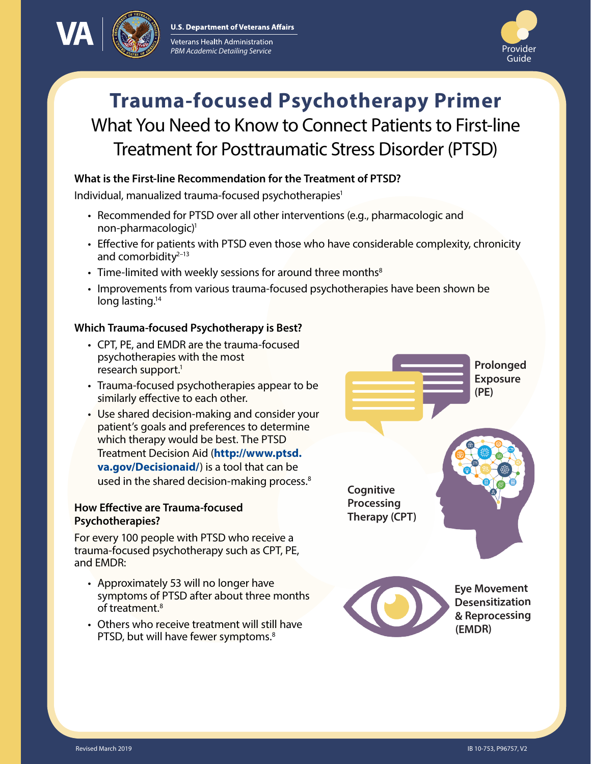



# **Trauma-focused Psychotherapy Primer** What You Need to Know to Connect Patients to First-line Treatment for Posttraumatic Stress Disorder (PTSD)

# **What is the First-line Recommendation for the Treatment of PTSD?**

Individual, manualized trauma-focused psychotherapies<sup>1</sup>

- Recommended for PTSD over all other interventions (e.g., pharmacologic and non-pharmacologic[\)1](#page-2-0)
- Effective for patients with PTSD even those who have considerable complexity, chronicity and comorbidity $2-13$  $2-13$
- Time-limited with weekly sessions for around three months $8$
- Improvements from various trauma-focused psychotherapies have been shown be long lasting.<sup>14</sup>

### **Which Trauma-focused Psychotherapy is Best?**

- CPT, PE, and EMDR are the trauma-focused psychotherapies with the most research support.<sup>1</sup>
- Trauma-focused psychotherapies appear to be similarly effective to each other.
- Use shared decision-making and consider your patient's goals and preferences to determine which therapy would be best. The PTSD Treatment Decision Aid (**[http://www.ptsd.](http://www.ptsd.va.gov/Decisionaid/) [va.gov/Decisionaid/](http://www.ptsd.va.gov/Decisionaid/)**) is a tool that can be used in the shared decision-making process.<sup>[8](#page-2-2)</sup>

### **How Effective are Trauma-focused Psychotherapies?**

For every 100 people with PTSD who receive a trauma-focused psychotherapy such as CPT, PE, and EMDR:

- Approximately 53 will no longer have symptoms of PTSD after about three months of treatment[.8](#page-2-2)
- Others who receive treatment will still have PTSD, but will have fewer symptoms.<sup>[8](#page-2-2)</sup>

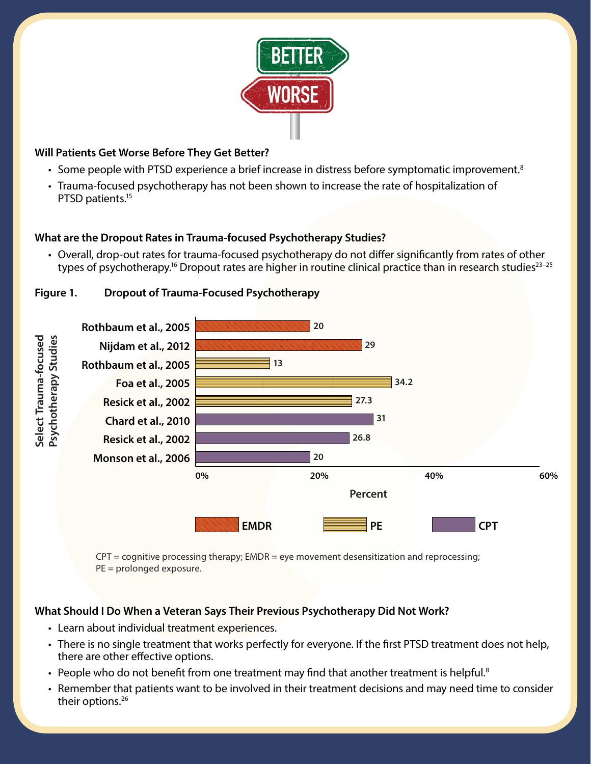

# **Will Patients Get Worse Before They Get Better?**

- Some people with PTSD experience a brief increase in distress before symptomatic improvement.<sup>[8](#page-2-2)</sup>
- Trauma-focused psychotherapy has not been shown to increase the rate of hospitalization of PTSD patients[.15](#page-3-2)

# **What are the Dropout Rates in Trauma-focused Psychotherapy Studies?**

• Overall, drop-out rates for trauma-focused psychotherapy do not differ significantly from rates of other types of psychotherapy.<sup>16</sup> Dropout rates are higher in routine clinical practice than in research studies<sup>23-[25](#page-3-5)</sup>





 $CPT =$  cognitive processing therapy;  $EMDR =$  eye movement desensitization and reprocessing;  $PE =$  prolonged exposure.

### **What Should I Do When a Veteran Says Their Previous Psychotherapy Did Not Work?**

- Learn about individual treatment experiences.
- There is no single treatment that works perfectly for everyone. If the first PTSD treatment does not help, there are other effective options.
- People who do not benefit from one treatment may find that another treatment is helpful.<sup>8</sup>
- Remember that patients want to be involved in their treatment decisions and may need time to consider their options.<sup>[26](#page-3-6)</sup>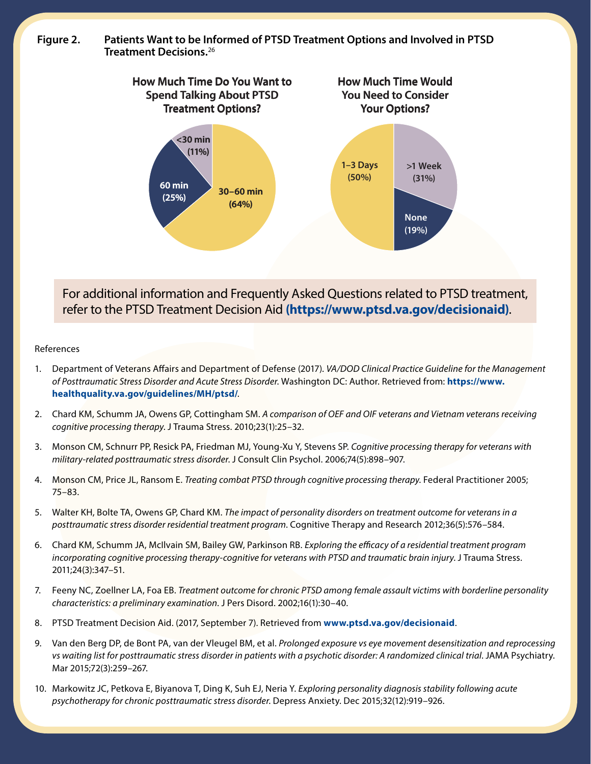**Figure 2. Patients Want to be Informed of PTSD Treatment Options and Involved in PTSD Treatment Decisions.**[26](#page-3-6)



For additional information and Frequently Asked Questions related to PTSD treatment, refer to the PTSD Treatment Decision Aid **[\(https://www.ptsd.va.gov/decisionaid](https://www.ptsd.va.gov/decisionaid))**.

#### References

- <span id="page-2-0"></span>1. Department of Veterans Affairs and Department of Defense (2017). *VA/DOD Clinical Practice Guideline for the Management of Posttraumatic Stress Disorder and Acute Stress Disorder*. Washington DC: Author. Retrieved from: **[https://www.](https://www.healthquality.va.gov/guidelines/MH/ptsd/) [healthquality.va.gov/guidelines/MH/ptsd/](https://www.healthquality.va.gov/guidelines/MH/ptsd/)**.
- <span id="page-2-1"></span>2. Chard KM, Schumm JA, Owens GP, Cottingham SM. *A comparison of OEF and OIF veterans and Vietnam veterans receiving cognitive processing therapy*. J Trauma Stress. 2010;23(1):25–32.
- 3. Monson CM, Schnurr PP, Resick PA, Friedman MJ, Young-Xu Y, Stevens SP. *Cognitive processing therapy for veterans with military-related posttraumatic stress disorder*. J Consult Clin Psychol. 2006;74(5):898–907.
- 4. Monson CM, Price JL, Ransom E. *Treating combat PTSD through cognitive processing therapy*. Federal Practitioner 2005; 75–83.
- 5. Walter KH, Bolte TA, Owens GP, Chard KM. *The impact of personality disorders on treatment outcome for veterans in a posttraumatic stress disorder residential treatment program*. Cognitive Therapy and Research 2012;36(5):576–584.
- 6. Chard KM, Schumm JA, McIlvain SM, Bailey GW, Parkinson RB. *Exploring the efficacy of a residential treatment program incorporating cognitive processing therapy-cognitive for veterans with PTSD and traumatic brain injury*. J Trauma Stress. 2011;24(3):347–51.
- 7. Feeny NC, Zoellner LA, Foa EB. *Treatment outcome for chronic PTSD among female assault victims with borderline personality characteristics: a preliminary examination*. J Pers Disord. 2002;16(1):30–40.
- <span id="page-2-2"></span>8. PTSD Treatment Decision Aid. (2017, September 7). Retrieved from **[www.ptsd.va.gov/decisionaid](http://www.ptsd.va.gov/decisionaid)**.
- 9. Van den Berg DP, de Bont PA, van der Vleugel BM, et al. *Prolonged exposure vs eye movement desensitization and reprocessing vs waiting list for posttraumatic stress disorder in patients with a psychotic disorder: A randomized clinical trial*. JAMA Psychiatry. Mar 2015;72(3):259–267.
- 10. Markowitz JC, Petkova E, Biyanova T, Ding K, Suh EJ, Neria Y. *Exploring personality diagnosis stability following acute psychotherapy for chronic posttraumatic stress disorder*. Depress Anxiety. Dec 2015;32(12):919–926.